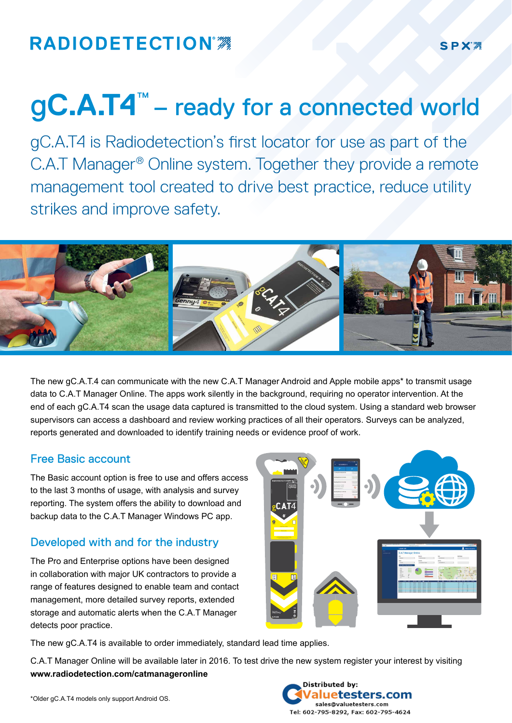## **RADIODETECTION®**

# g**C.A.T4<sup>™</sup>** – ready for a connected world

gC.A.T4 is Radiodetection's first locator for use as part of the C.A.T Manager® Online system. Together they provide a remote management tool created to drive best practice, reduce utility strikes and improve safety.



The new gC.A.T.4 can communicate with the new C.A.T Manager Android and Apple mobile apps\* to transmit usage data to C.A.T Manager Online. The apps work silently in the background, requiring no operator intervention. At the end of each gC.A.T4 scan the usage data captured is transmitted to the cloud system. Using a standard web browser supervisors can access a dashboard and review working practices of all their operators. Surveys can be analyzed, reports generated and downloaded to identify training needs or evidence proof of work.

### Free Basic account

The Basic account option is free to use and offers access to the last 3 months of usage, with analysis and survey reporting. The system offers the ability to download and backup data to the C.A.T Manager Windows PC app.

### Developed with and for the industry

The Pro and Enterprise options have been designed in collaboration with major UK contractors to provide a range of features designed to enable team and contact management, more detailed survey reports, extended storage and automatic alerts when the C.A.T Manager detects poor practice.



The new gC.A.T4 is available to order immediately, standard lead time applies.

C.A.T Manager Online will be available later in 2016. To test drive the new system register your interest by visiting **www.radiodetection.com/catmanageronline**